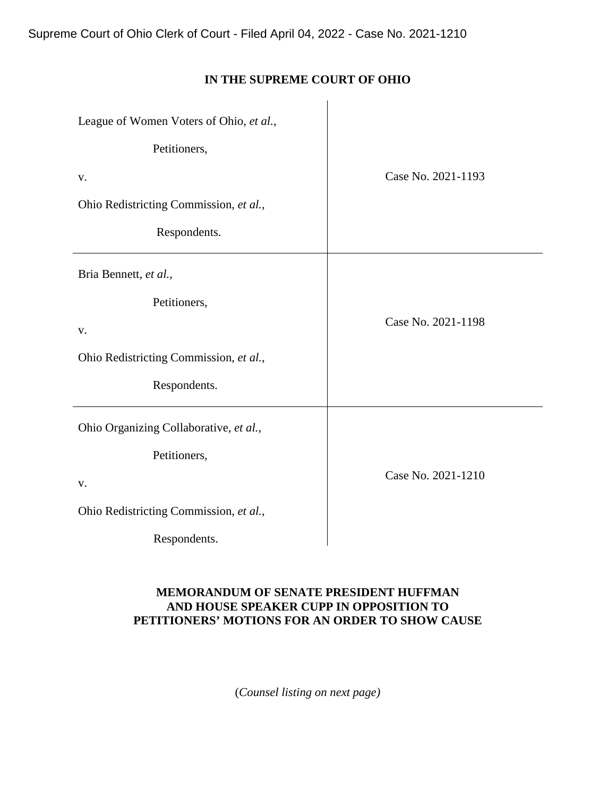# **IN THE SUPREME COURT OF OHIO**

| League of Women Voters of Ohio, et al., |                    |
|-----------------------------------------|--------------------|
| Petitioners,                            |                    |
| V.                                      | Case No. 2021-1193 |
| Ohio Redistricting Commission, et al.,  |                    |
| Respondents.                            |                    |
| Bria Bennett, et al.,                   |                    |
| Petitioners,                            |                    |
| V.                                      | Case No. 2021-1198 |
| Ohio Redistricting Commission, et al.,  |                    |
| Respondents.                            |                    |
| Ohio Organizing Collaborative, et al.,  |                    |
| Petitioners,                            |                    |
| V.                                      | Case No. 2021-1210 |
| Ohio Redistricting Commission, et al.,  |                    |
| Respondents.                            |                    |

## **MEMORANDUM OF SENATE PRESIDENT HUFFMAN AND HOUSE SPEAKER CUPP IN OPPOSITION TO PETITIONERS' MOTIONS FOR AN ORDER TO SHOW CAUSE**

(*Counsel listing on next page)*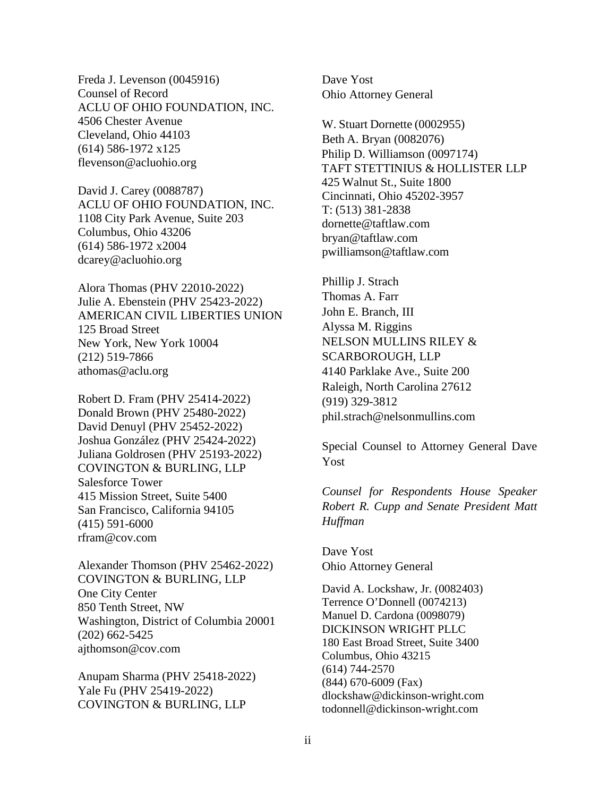Freda J. Levenson (0045916) Counsel of Record ACLU OF OHIO FOUNDATION, INC. 4506 Chester Avenue Cleveland, Ohio 44103 (614) 586-1972 x125 flevenson@acluohio.org

David J. Carey (0088787) ACLU OF OHIO FOUNDATION, INC. 1108 City Park Avenue, Suite 203 Columbus, Ohio 43206 (614) 586-1972 x2004 dcarey@acluohio.org

Alora Thomas (PHV 22010-2022) Julie A. Ebenstein (PHV 25423-2022) AMERICAN CIVIL LIBERTIES UNION 125 Broad Street New York, New York 10004 (212) 519-7866 athomas@aclu.org

Robert D. Fram (PHV 25414-2022) Donald Brown (PHV 25480-2022) David Denuyl (PHV 25452-2022) Joshua González (PHV 25424-2022) Juliana Goldrosen (PHV 25193-2022) COVINGTON & BURLING, LLP Salesforce Tower 415 Mission Street, Suite 5400 San Francisco, California 94105  $(415)$  591-6000 rfram@cov.com

Alexander Thomson (PHV 25462-2022) COVINGTON & BURLING, LLP One City Center 850 Tenth Street, NW Washington, District of Columbia 20001 (202) 662-5425 ajthomson@cov.com

Anupam Sharma (PHV 25418-2022) Yale Fu (PHV 25419-2022) COVINGTON & BURLING, LLP

Dave Yost Ohio Attorney General

W. Stuart Dornette (0002955) Beth A. Bryan (0082076) Philip D. Williamson (0097174) TAFT STETTINIUS & HOLLISTER LLP 425 Walnut St., Suite 1800 Cincinnati, Ohio 45202-3957 T: (513) 381-2838 [dornette@taftlaw.com](mailto:dornette@taftlaw.com) [bryan@taftlaw.com](mailto:bryan@taftlaw.com) [pwilliamson@taftlaw.com](mailto:pwilliamson@taftlaw.com)

Phillip J. Strach Thomas A. Farr John E. Branch, III Alyssa M. Riggins NELSON MULLINS RILEY & SCARBOROUGH, LLP 4140 Parklake Ave., Suite 200 Raleigh, North Carolina 27612 (919) 329-3812 phil.strach@nelsonmullins.com

Special Counsel to Attorney General Dave Yost

*Counsel for Respondents House Speaker Robert R. Cupp and Senate President Matt Huffman* 

Dave Yost Ohio Attorney General

David A. Lockshaw, Jr. (0082403) Terrence O'Donnell (0074213) Manuel D. Cardona (0098079) DICKINSON WRIGHT PLLC 180 East Broad Street, Suite 3400 Columbus, Ohio 43215 (614) 744-2570 (844) 670-6009 (Fax) dlockshaw@dickinson-wright.com todonnell@dickinson-wright.com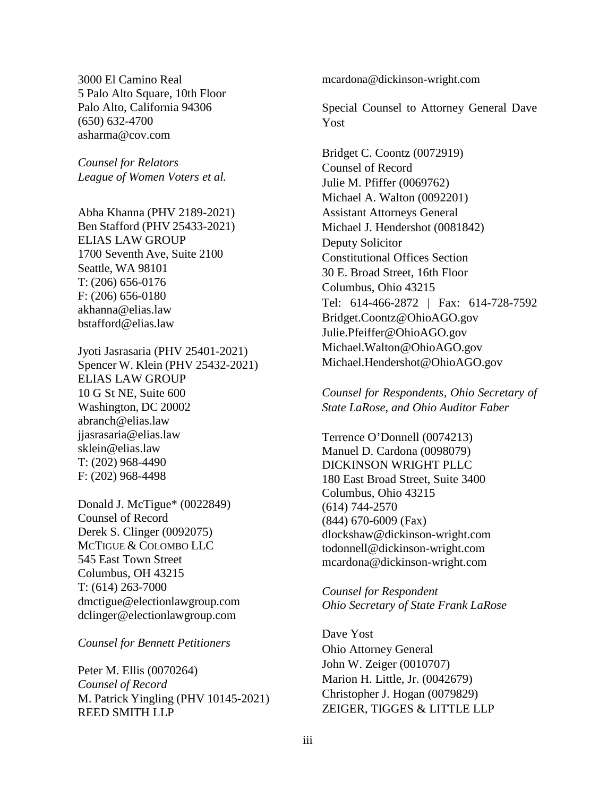3000 El Camino Real 5 Palo Alto Square, 10th Floor Palo Alto, California 94306 (650) 632-4700 asharma@cov.com

*Counsel for Relators League of Women Voters et al.*

Abha Khanna (PHV 2189-2021) Ben Stafford (PHV 25433-2021) ELIAS LAW GROUP 1700 Seventh Ave, Suite 2100 Seattle, WA 98101 T: (206) 656-0176 F: (206) 656-0180 [akhanna@elias.law](mailto:akhanna@elias.law)  [bstafford@elias.law](mailto:bstafford@elias.law)

Jyoti Jasrasaria (PHV 25401-2021) Spencer W. Klein (PHV 25432-2021) ELIAS LAW GROUP 10 G St NE, Suite 600 Washington, DC 20002 [abranch@elias.law](mailto:abranch@elias.law)  [jjasrasaria@elias.law](mailto:jjasrasaria@elias.law) [sklein@elias.law](mailto:sklein@elias.law) T: (202) 968-4490 F: (202) 968-4498

Donald J. McTigue\* (0022849) Counsel of Record Derek S. Clinger (0092075) MCTIGUE & COLOMBO LLC 545 East Town Street Columbus, OH 43215 T: (614) 263-7000 [dmctigue@electionlawgroup.com](mailto:dmctigue@electionlawgroup.com)  [dclinger@electionlawgroup.com](mailto:dclinger@electionlawgroup.com) 

#### *Counsel for Bennett Petitioners*

Peter M. Ellis (0070264) *Counsel of Record*  M. Patrick Yingling (PHV 10145-2021) REED SMITH LLP

mcardona@dickinson-wright.com

Special Counsel to Attorney General Dave Yost

Bridget C. Coontz (0072919) Counsel of Record Julie M. Pfiffer (0069762) Michael A. Walton (0092201) Assistant Attorneys General Michael J. Hendershot (0081842) Deputy Solicitor Constitutional Offices Section 30 E. Broad Street, 16th Floor Columbus, Ohio 43215 Tel: 614-466-2872 | Fax: 614-728-7592 Bridget.Coontz@OhioAGO.gov Julie.Pfeiffer@OhioAGO.gov Michael.Walton@OhioAGO.gov Michael.Hendershot@OhioAGO.gov

*Counsel for Respondents, Ohio Secretary of State LaRose, and Ohio Auditor Faber* 

Terrence O'Donnell (0074213) Manuel D. Cardona (0098079) DICKINSON WRIGHT PLLC 180 East Broad Street, Suite 3400 Columbus, Ohio 43215 (614) 744-2570 (844) 670-6009 (Fax) [dlockshaw@dickinson-wright.com](mailto:dlockshaw@dickinson-wright.com) [todonnell@dickinson-wright.com](mailto:todonnell@dickinson-wright.com) [mcardona@dickinson-wright.com](mailto:mcardona@dickinson-wright.com)

*Counsel for Respondent Ohio Secretary of State Frank LaRose*

Dave Yost Ohio Attorney General John W. Zeiger (0010707) Marion H. Little, Jr. (0042679) Christopher J. Hogan (0079829) ZEIGER, TIGGES & LITTLE LLP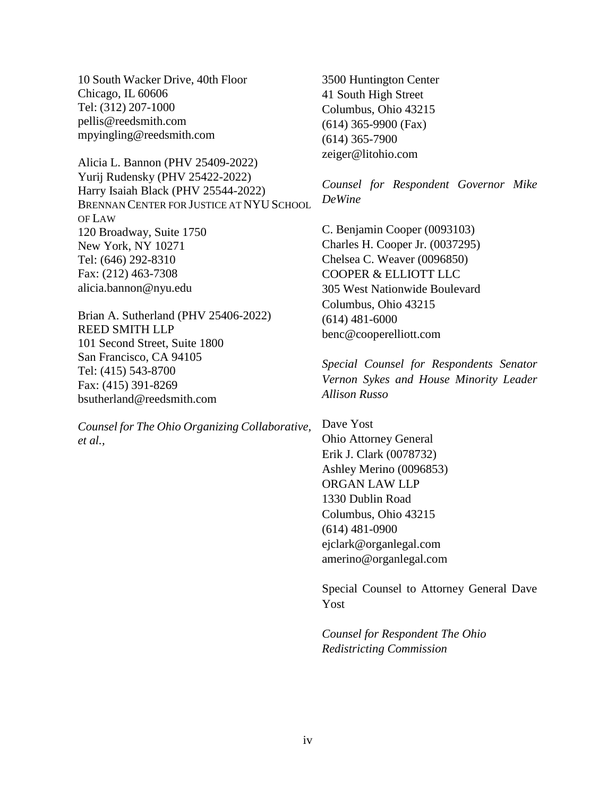10 South Wacker Drive, 40th Floor Chicago, IL 60606 Tel: (312) 207-1000 [pellis@reedsmith.com](mailto:pellis@reedsmith.com) [mpyingling@reedsmith.com](mailto:mpyingling@reedsmith.com) 

Alicia L. Bannon (PHV 25409-2022) Yurij Rudensky (PHV 25422-2022) Harry Isaiah Black (PHV 25544-2022) BRENNAN CENTER FOR JUSTICE AT NYU SCHOOL OF LAW 120 Broadway, Suite 1750 New York, NY 10271 Tel: (646) 292-8310 Fax: (212) 463-7308 [alicia.bannon@nyu.edu](mailto:alicia.bannon@nyu.edu)

Brian A. Sutherland (PHV 25406-2022) REED SMITH LLP 101 Second Street, Suite 1800 San Francisco, CA 94105 Tel: (415) 543-8700 Fax: (415) 391-8269 [bsutherland@reedsmith.com](mailto:bsutherland@reedsmith.com)

*Counsel for The Ohio Organizing Collaborative, et al.,* 

3500 Huntington Center 41 South High Street Columbus, Ohio 43215 (614) 365-9900 (Fax) (614) 365-7900 zeiger@litohio.com

*Counsel for Respondent Governor Mike DeWine* 

C. Benjamin Cooper (0093103) Charles H. Cooper Jr. (0037295) Chelsea C. Weaver (0096850) COOPER & ELLIOTT LLC 305 West Nationwide Boulevard Columbus, Ohio 43215 (614) 481-6000 benc@cooperelliott.com

*Special Counsel for Respondents Senator Vernon Sykes and House Minority Leader Allison Russo* 

Dave Yost Ohio Attorney General Erik J. Clark (0078732) Ashley Merino (0096853) ORGAN LAW LLP 1330 Dublin Road Columbus, Ohio 43215 (614) 481-0900 ejclark@organlegal.com amerino@organlegal.com

Special Counsel to Attorney General Dave Yost

*Counsel for Respondent The Ohio Redistricting Commission*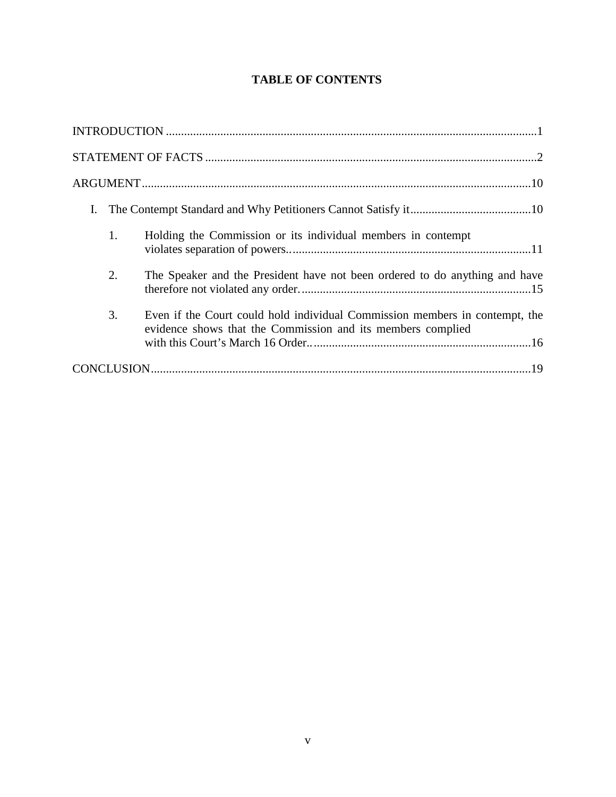# **TABLE OF CONTENTS**

| I. |                                                                                                                                            |
|----|--------------------------------------------------------------------------------------------------------------------------------------------|
| 1. | Holding the Commission or its individual members in contempt                                                                               |
| 2. | The Speaker and the President have not been ordered to do anything and have                                                                |
| 3. | Even if the Court could hold individual Commission members in contempt, the<br>evidence shows that the Commission and its members complied |
|    |                                                                                                                                            |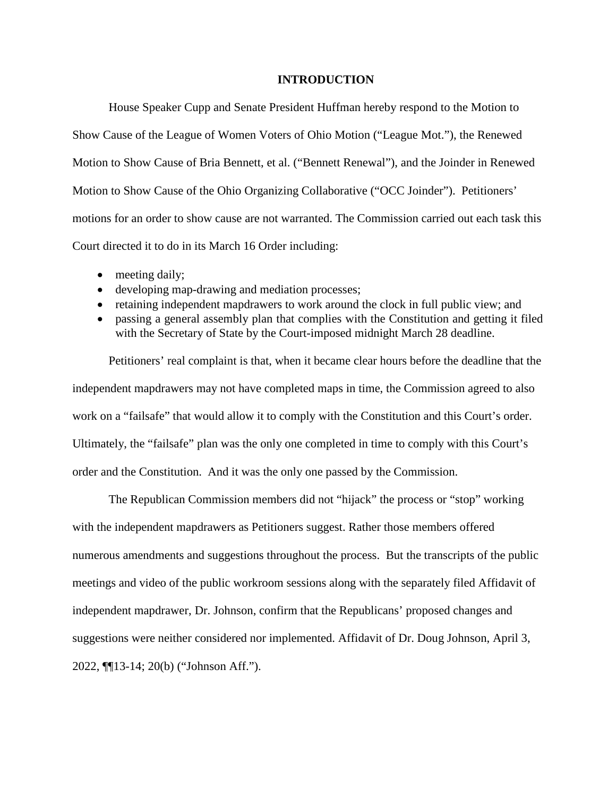## **INTRODUCTION**

House Speaker Cupp and Senate President Huffman hereby respond to the Motion to Show Cause of the League of Women Voters of Ohio Motion ("League Mot."), the Renewed Motion to Show Cause of Bria Bennett, et al. ("Bennett Renewal"), and the Joinder in Renewed Motion to Show Cause of the Ohio Organizing Collaborative ("OCC Joinder"). Petitioners' motions for an order to show cause are not warranted. The Commission carried out each task this Court directed it to do in its March 16 Order including:

- meeting daily;
- developing map-drawing and mediation processes;
- retaining independent mapdrawers to work around the clock in full public view; and
- passing a general assembly plan that complies with the Constitution and getting it filed with the Secretary of State by the Court-imposed midnight March 28 deadline.

Petitioners' real complaint is that, when it became clear hours before the deadline that the independent mapdrawers may not have completed maps in time, the Commission agreed to also work on a "failsafe" that would allow it to comply with the Constitution and this Court's order. Ultimately, the "failsafe" plan was the only one completed in time to comply with this Court's order and the Constitution. And it was the only one passed by the Commission.

The Republican Commission members did not "hijack" the process or "stop" working with the independent mapdrawers as Petitioners suggest. Rather those members offered numerous amendments and suggestions throughout the process. But the transcripts of the public meetings and video of the public workroom sessions along with the separately filed Affidavit of independent mapdrawer, Dr. Johnson, confirm that the Republicans' proposed changes and suggestions were neither considered nor implemented. Affidavit of Dr. Doug Johnson, April 3, 2022, ¶¶13-14; 20(b) ("Johnson Aff.").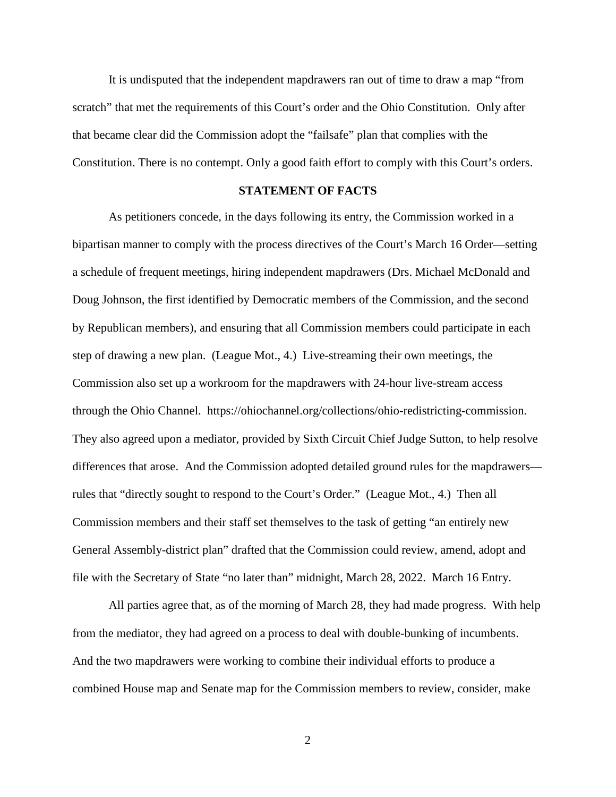It is undisputed that the independent mapdrawers ran out of time to draw a map "from scratch" that met the requirements of this Court's order and the Ohio Constitution. Only after that became clear did the Commission adopt the "failsafe" plan that complies with the Constitution. There is no contempt. Only a good faith effort to comply with this Court's orders.

## **STATEMENT OF FACTS**

As petitioners concede, in the days following its entry, the Commission worked in a bipartisan manner to comply with the process directives of the Court's March 16 Order—setting a schedule of frequent meetings, hiring independent mapdrawers (Drs. Michael McDonald and Doug Johnson, the first identified by Democratic members of the Commission, and the second by Republican members), and ensuring that all Commission members could participate in each step of drawing a new plan. (League Mot., 4.) Live-streaming their own meetings, the Commission also set up a workroom for the mapdrawers with 24-hour live-stream access through the Ohio Channel. [https://ohiochannel.org/collections/ohio-redistricting-commission.](https://ohiochannel.org/collections/ohio-redistricting-commission) They also agreed upon a mediator, provided by Sixth Circuit Chief Judge Sutton, to help resolve differences that arose. And the Commission adopted detailed ground rules for the mapdrawers rules that "directly sought to respond to the Court's Order." (League Mot., 4.) Then all Commission members and their staff set themselves to the task of getting "an entirely new General Assembly-district plan" drafted that the Commission could review, amend, adopt and file with the Secretary of State "no later than" midnight, March 28, 2022. March 16 Entry.

All parties agree that, as of the morning of March 28, they had made progress. With help from the mediator, they had agreed on a process to deal with double-bunking of incumbents. And the two mapdrawers were working to combine their individual efforts to produce a combined House map and Senate map for the Commission members to review, consider, make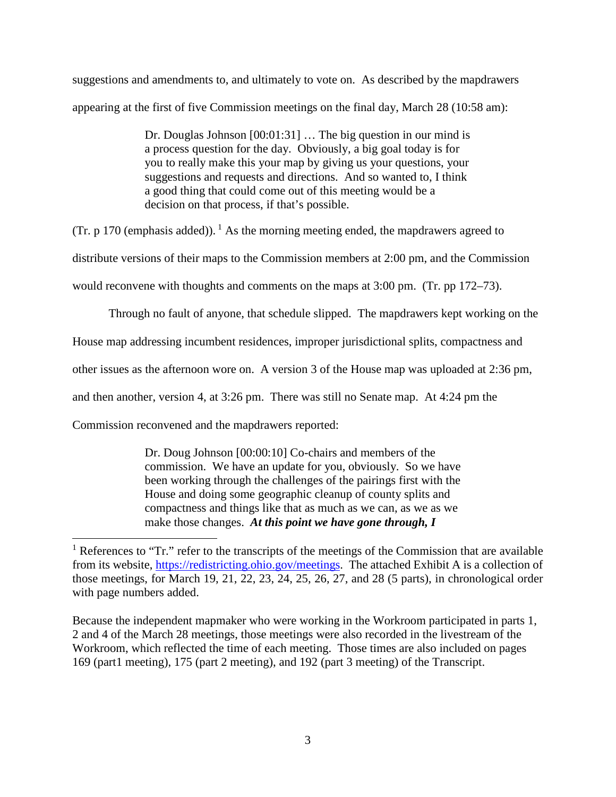suggestions and amendments to, and ultimately to vote on. As described by the mapdrawers appearing at the first of five Commission meetings on the final day, March 28 (10:58 am):

> Dr. Douglas Johnson [00:01:31] … The big question in our mind is a process question for the day. Obviously, a big goal today is for you to really make this your map by giving us your questions, your suggestions and requests and directions. And so wanted to, I think a good thing that could come out of this meeting would be a decision on that process, if that's possible.

(Tr. p 170 (emphasis added)).<sup>1</sup> [A](#page-7-0)s the morning meeting ended, the mapdrawers agreed to

distribute versions of their maps to the Commission members at 2:00 pm, and the Commission

would reconvene with thoughts and comments on the maps at 3:00 pm. (Tr. pp 172–73).

Through no fault of anyone, that schedule slipped. The mapdrawers kept working on the

House map addressing incumbent residences, improper jurisdictional splits, compactness and

other issues as the afternoon wore on. A version 3 of the House map was uploaded at 2:36 pm,

and then another, version 4, at 3:26 pm. There was still no Senate map. At 4:24 pm the

Commission reconvened and the mapdrawers reported:

Dr. Doug Johnson [00:00:10] Co-chairs and members of the commission. We have an update for you, obviously. So we have been working through the challenges of the pairings first with the House and doing some geographic cleanup of county splits and compactness and things like that as much as we can, as we as we make those changes. *At this point we have gone through, I* 

Because the independent mapmaker who were working in the Workroom participated in parts 1, 2 and 4 of the March 28 meetings, those meetings were also recorded in the livestream of the Workroom, which reflected the time of each meeting. Those times are also included on pages 169 (part1 meeting), 175 (part 2 meeting), and 192 (part 3 meeting) of the Transcript.

<span id="page-7-0"></span><sup>&</sup>lt;sup>1</sup> References to "Tr." refer to the transcripts of the meetings of the Commission that are available from its website, https://redistricting.ohio.gov/meetings. The attached Exhibit A is a collection of those meetings, for March 19, 21, 22, 23, 24, 25, 26, 27, and 28 (5 parts), in chronological order with page numbers added.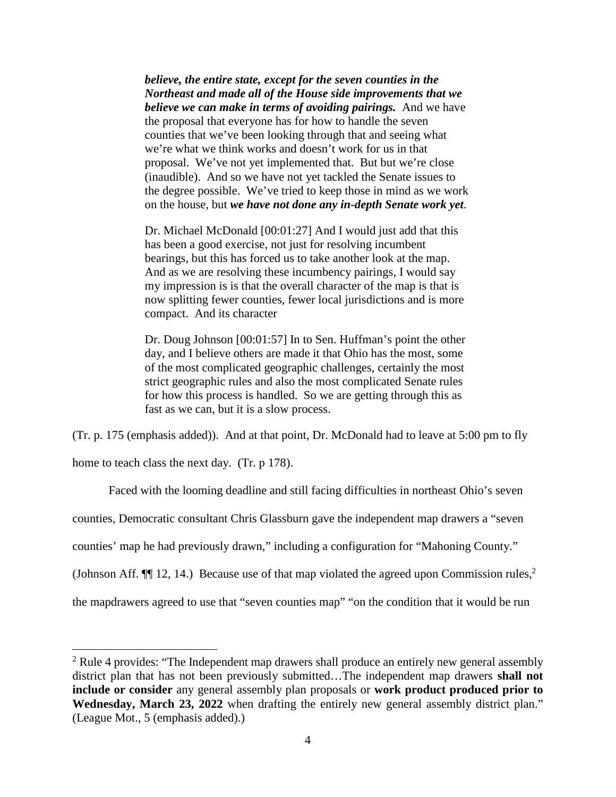*believe, the entire state, except for the seven counties in the Northeast and made all of the House side improvements that we believe we can make in terms of avoiding pairings.* And we have the proposal that everyone has for how to handle the seven counties that we've been looking through that and seeing what we're what we think works and doesn't work for us in that proposal. We've not yet implemented that. But but we're close (inaudible). And so we have not yet tackled the Senate issues to the degree possible. We've tried to keep those in mind as we work on the house, but *we have not done any in-depth Senate work yet*.

Dr. Michael McDonald [00:01:27] And I would just add that this has been a good exercise, not just for resolving incumbent bearings, but this has forced us to take another look at the map. And as we are resolving these incumbency pairings, I would say my impression is is that the overall character of the map is that is now splitting fewer counties, fewer local jurisdictions and is more compact. And its character

Dr. Doug Johnson [00:01:57] In to Sen. Huffman's point the other day, and I believe others are made it that Ohio has the most, some of the most complicated geographic challenges, certainly the most strict geographic rules and also the most complicated Senate rules for how this process is handled. So we are getting through this as fast as we can, but it is a slow process.

(Tr. p. 175 (emphasis added)). And at that point, Dr. McDonald had to leave at 5:00 pm to fly

home to teach class the next day. (Tr. p 178).

Faced with the looming deadline and still facing difficulties in northeast Ohio's seven counties, Democratic consultant Chris Glassburn gave the independent map drawers a "seven counties' map he had previously drawn," including a configuration for "Mahoning County." (Johnson Aff.  $\P$  1[2](#page-8-0), 14.) Because use of that map violated the agreed upon Commission rules,<sup>2</sup> the mapdrawers agreed to use that "seven counties map" "on the condition that it would be run

<span id="page-8-0"></span> $2$  Rule 4 provides: "The Independent map drawers shall produce an entirely new general assembly district plan that has not been previously submitted…The independent map drawers **shall not include or consider** any general assembly plan proposals or **work product produced prior to Wednesday, March 23, 2022** when drafting the entirely new general assembly district plan." (League Mot., 5 (emphasis added).)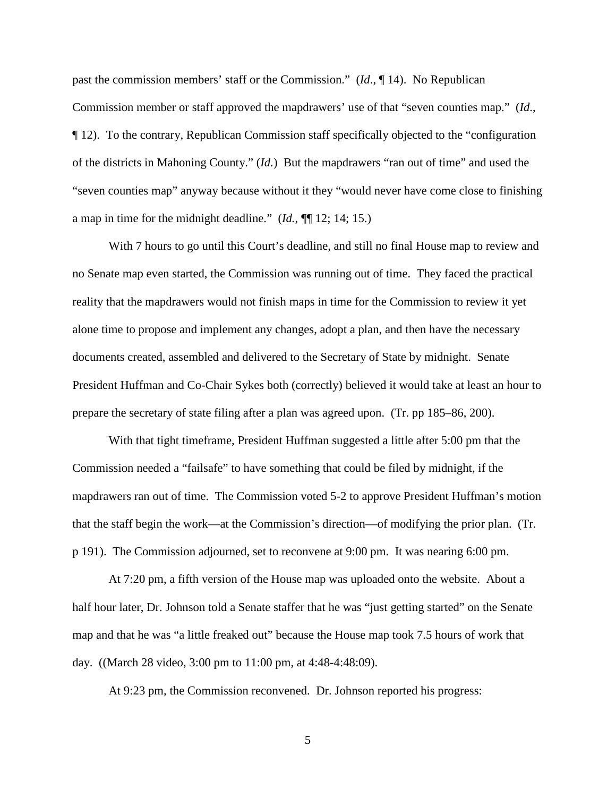past the commission members' staff or the Commission." (*Id*., ¶ 14). No Republican Commission member or staff approved the mapdrawers' use of that "seven counties map." (*Id*., ¶ 12). To the contrary, Republican Commission staff specifically objected to the "configuration of the districts in Mahoning County." (*Id.*) But the mapdrawers "ran out of time" and used the "seven counties map" anyway because without it they "would never have come close to finishing a map in time for the midnight deadline." (*Id.*, ¶¶ 12; 14; 15.)

With 7 hours to go until this Court's deadline, and still no final House map to review and no Senate map even started, the Commission was running out of time. They faced the practical reality that the mapdrawers would not finish maps in time for the Commission to review it yet alone time to propose and implement any changes, adopt a plan, and then have the necessary documents created, assembled and delivered to the Secretary of State by midnight. Senate President Huffman and Co-Chair Sykes both (correctly) believed it would take at least an hour to prepare the secretary of state filing after a plan was agreed upon. (Tr. pp 185–86, 200).

With that tight timeframe, President Huffman suggested a little after 5:00 pm that the Commission needed a "failsafe" to have something that could be filed by midnight, if the mapdrawers ran out of time. The Commission voted 5-2 to approve President Huffman's motion that the staff begin the work—at the Commission's direction—of modifying the prior plan. (Tr. p 191). The Commission adjourned, set to reconvene at 9:00 pm. It was nearing 6:00 pm.

At 7:20 pm, a fifth version of the House map was uploaded onto the website. About a half hour later, Dr. Johnson told a Senate staffer that he was "just getting started" on the Senate map and that he was "a little freaked out" because the House map took 7.5 hours of work that day. ((March 28 video, 3:00 pm to 11:00 pm, at 4:48-4:48:09).

At 9:23 pm, the Commission reconvened. Dr. Johnson reported his progress: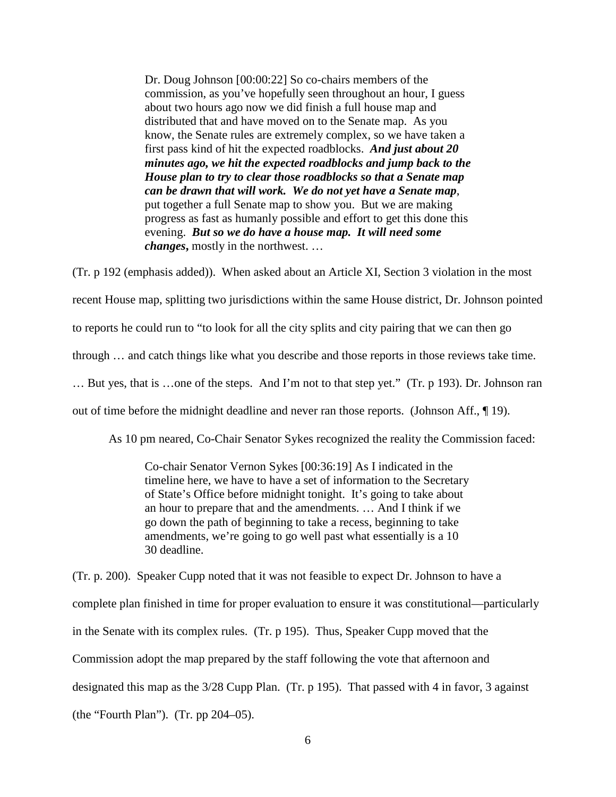Dr. Doug Johnson [00:00:22] So co-chairs members of the commission, as you've hopefully seen throughout an hour, I guess about two hours ago now we did finish a full house map and distributed that and have moved on to the Senate map. As you know, the Senate rules are extremely complex, so we have taken a first pass kind of hit the expected roadblocks. *And just about 20 minutes ago, we hit the expected roadblocks and jump back to the House plan to try to clear those roadblocks so that a Senate map can be drawn that will work. We do not yet have a Senate map*, put together a full Senate map to show you. But we are making progress as fast as humanly possible and effort to get this done this evening. *But so we do have a house map. It will need some changes***,** mostly in the northwest. …

(Tr. p 192 (emphasis added)). When asked about an Article XI, Section 3 violation in the most recent House map, splitting two jurisdictions within the same House district, Dr. Johnson pointed to reports he could run to "to look for all the city splits and city pairing that we can then go through … and catch things like what you describe and those reports in those reviews take time. … But yes, that is …one of the steps. And I'm not to that step yet." (Tr. p 193). Dr. Johnson ran out of time before the midnight deadline and never ran those reports. (Johnson Aff., ¶ 19).

As 10 pm neared, Co-Chair Senator Sykes recognized the reality the Commission faced:

Co-chair Senator Vernon Sykes [00:36:19] As I indicated in the timeline here, we have to have a set of information to the Secretary of State's Office before midnight tonight. It's going to take about an hour to prepare that and the amendments. … And I think if we go down the path of beginning to take a recess, beginning to take amendments, we're going to go well past what essentially is a 10 30 deadline.

(Tr. p. 200). Speaker Cupp noted that it was not feasible to expect Dr. Johnson to have a complete plan finished in time for proper evaluation to ensure it was constitutional—particularly in the Senate with its complex rules. (Tr. p 195). Thus, Speaker Cupp moved that the Commission adopt the map prepared by the staff following the vote that afternoon and designated this map as the 3/28 Cupp Plan. (Tr. p 195). That passed with 4 in favor, 3 against (the "Fourth Plan"). (Tr. pp 204–05).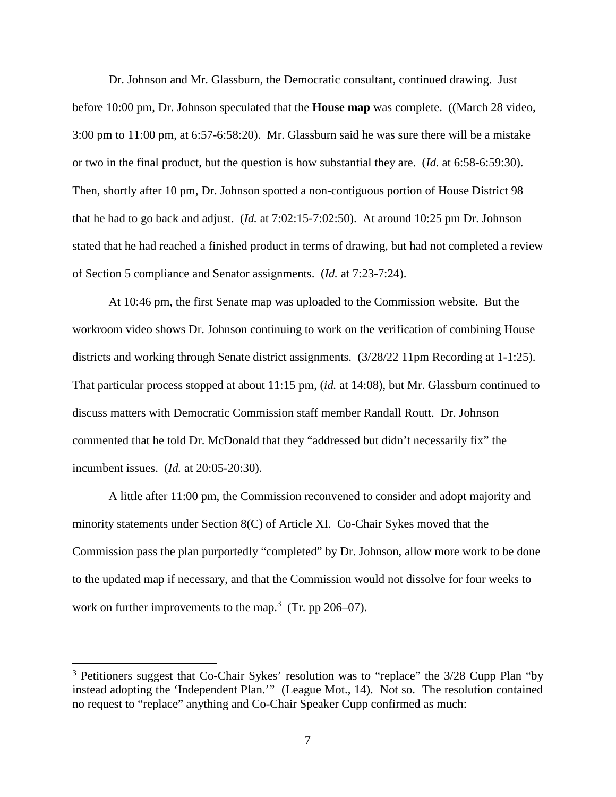Dr. Johnson and Mr. Glassburn, the Democratic consultant, continued drawing. Just before 10:00 pm, Dr. Johnson speculated that the **House map** was complete. ((March 28 video, 3:00 pm to 11:00 pm, at 6:57-6:58:20). Mr. Glassburn said he was sure there will be a mistake or two in the final product, but the question is how substantial they are. (*Id.* at 6:58-6:59:30). Then, shortly after 10 pm, Dr. Johnson spotted a non-contiguous portion of House District 98 that he had to go back and adjust. (*Id.* at 7:02:15-7:02:50). At around 10:25 pm Dr. Johnson stated that he had reached a finished product in terms of drawing, but had not completed a review of Section 5 compliance and Senator assignments. (*Id.* at 7:23-7:24).

At 10:46 pm, the first Senate map was uploaded to the Commission website. But the workroom video shows Dr. Johnson continuing to work on the verification of combining House districts and working through Senate district assignments. (3/28/22 11pm Recording at 1-1:25). That particular process stopped at about 11:15 pm, (*id.* at 14:08), but Mr. Glassburn continued to discuss matters with Democratic Commission staff member Randall Routt. Dr. Johnson commented that he told Dr. McDonald that they "addressed but didn't necessarily fix" the incumbent issues. (*Id.* at 20:05-20:30).

A little after 11:00 pm, the Commission reconvened to consider and adopt majority and minority statements under Section 8(C) of Article XI. Co-Chair Sykes moved that the Commission pass the plan purportedly "completed" by Dr. Johnson, allow more work to be done to the updated map if necessary, and that the Commission would not dissolve for four weeks to workon further improvements to the map.<sup>3</sup> (Tr. pp 206–07).

<span id="page-11-0"></span><sup>&</sup>lt;sup>3</sup> Petitioners suggest that Co-Chair Sykes' resolution was to "replace" the 3/28 Cupp Plan "by instead adopting the 'Independent Plan.'" (League Mot., 14). Not so. The resolution contained no request to "replace" anything and Co-Chair Speaker Cupp confirmed as much: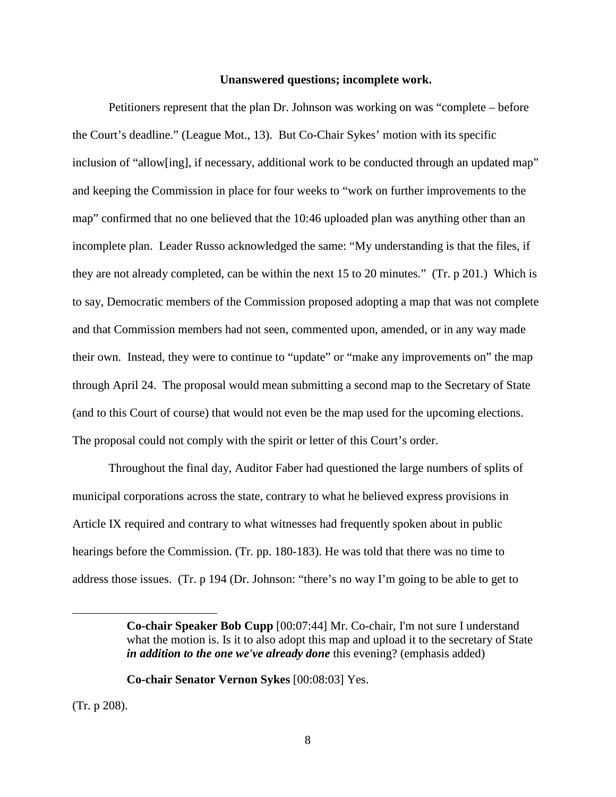#### **Unanswered questions; incomplete work.**

Petitioners represent that the plan Dr. Johnson was working on was "complete – before the Court's deadline." (League Mot., 13). But Co-Chair Sykes' motion with its specific inclusion of "allow[ing], if necessary, additional work to be conducted through an updated map" and keeping the Commission in place for four weeks to "work on further improvements to the map" confirmed that no one believed that the 10:46 uploaded plan was anything other than an incomplete plan. Leader Russo acknowledged the same: "My understanding is that the files, if they are not already completed, can be within the next 15 to 20 minutes." (Tr. p 201*.*) Which is to say, Democratic members of the Commission proposed adopting a map that was not complete and that Commission members had not seen, commented upon, amended, or in any way made their own. Instead, they were to continue to "update" or "make any improvements on" the map through April 24. The proposal would mean submitting a second map to the Secretary of State (and to this Court of course) that would not even be the map used for the upcoming elections. The proposal could not comply with the spirit or letter of this Court's order.

Throughout the final day, Auditor Faber had questioned the large numbers of splits of municipal corporations across the state, contrary to what he believed express provisions in Article IX required and contrary to what witnesses had frequently spoken about in public hearings before the Commission. (Tr. pp. 180-183). He was told that there was no time to address those issues. (Tr. p 194 (Dr. Johnson: "there's no way I'm going to be able to get to

**Co-chair Senator Vernon Sykes** [00:08:03] Yes.

(Tr. p 208).

**Co-chair Speaker Bob Cupp** [00:07:44] Mr. Co-chair, I'm not sure I understand what the motion is. Is it to also adopt this map and upload it to the secretary of State *in addition to the one we've already done* this evening? (emphasis added)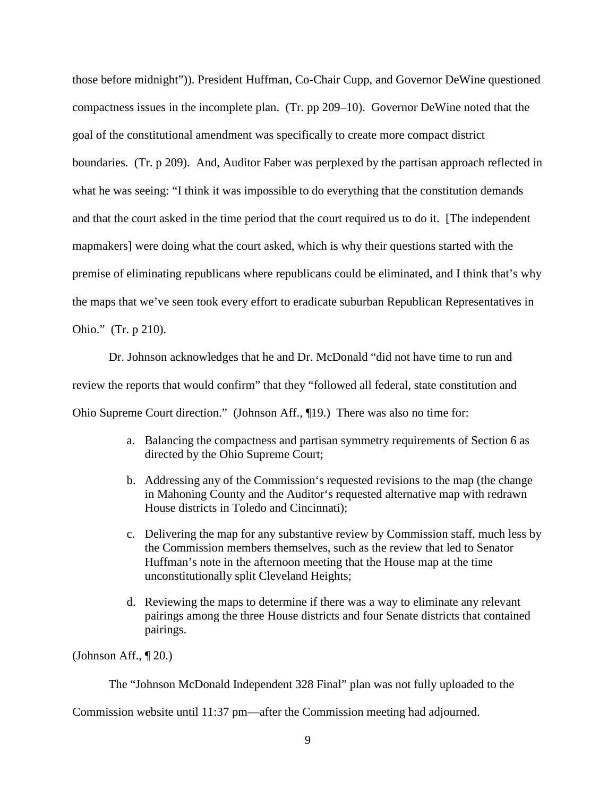those before midnight")). President Huffman, Co-Chair Cupp, and Governor DeWine questioned compactness issues in the incomplete plan. (Tr. pp 209–10). Governor DeWine noted that the goal of the constitutional amendment was specifically to create more compact district boundaries. (Tr. p 209). And, Auditor Faber was perplexed by the partisan approach reflected in what he was seeing: "I think it was impossible to do everything that the constitution demands and that the court asked in the time period that the court required us to do it. [The independent mapmakers] were doing what the court asked, which is why their questions started with the premise of eliminating republicans where republicans could be eliminated, and I think that's why the maps that we've seen took every effort to eradicate suburban Republican Representatives in Ohio." (Tr. p 210).

Dr. Johnson acknowledges that he and Dr. McDonald "did not have time to run and review the reports that would confirm" that they "followed all federal, state constitution and Ohio Supreme Court direction." (Johnson Aff., ¶19.) There was also no time for:

- a. Balancing the compactness and partisan symmetry requirements of Section 6 as directed by the Ohio Supreme Court;
- b. Addressing any of the Commission's requested revisions to the map (the change in Mahoning County and the Auditor's requested alternative map with redrawn House districts in Toledo and Cincinnati);
- c. Delivering the map for any substantive review by Commission staff, much less by the Commission members themselves, such as the review that led to Senator Huffman's note in the afternoon meeting that the House map at the time unconstitutionally split Cleveland Heights;
- d. Reviewing the maps to determine if there was a way to eliminate any relevant pairings among the three House districts and four Senate districts that contained pairings.

(Johnson Aff., ¶ 20.)

The "Johnson McDonald Independent 328 Final" plan was not fully uploaded to the

Commission website until 11:37 pm—after the Commission meeting had adjourned.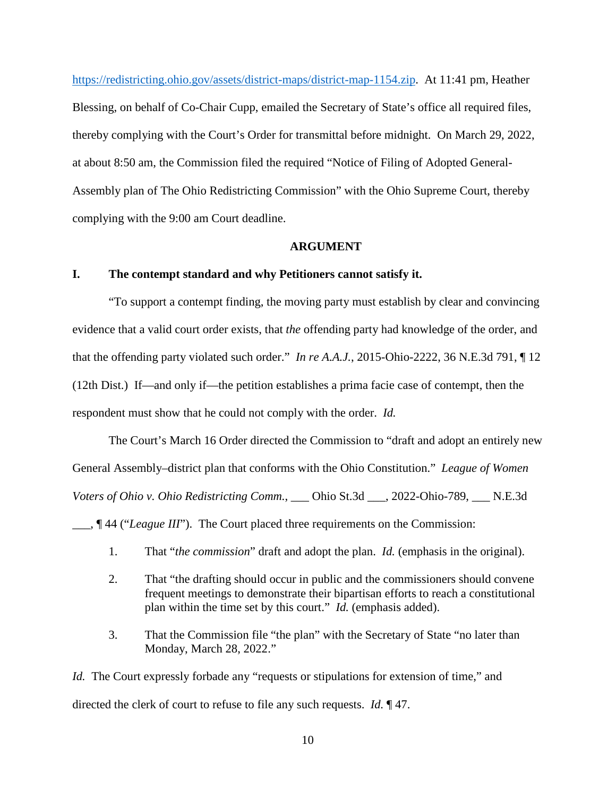<https://redistricting.ohio.gov/assets/district-maps/district-map-1154.zip>. At 11:41 pm, Heather Blessing, on behalf of Co-Chair Cupp, emailed the Secretary of State's office all required files, thereby complying with the Court's Order for transmittal before midnight. On March 29, 2022, at about 8:50 am, the Commission filed the required "Notice of Filing of Adopted General-Assembly plan of The Ohio Redistricting Commission" with the Ohio Supreme Court, thereby complying with the 9:00 am Court deadline.

#### **ARGUMENT**

## **I. The contempt standard and why Petitioners cannot satisfy it.**

"To support a contempt finding, the moving party must establish by clear and convincing evidence that a valid court order exists, that *the* offending party had knowledge of the order, and that the offending party violated such order." *In re A.A.J.*, 2015-Ohio-2222, 36 N.E.3d 791, ¶ 12 (12th Dist.) If—and only if—the petition establishes a prima facie case of contempt, then the respondent must show that he could not comply with the order. *Id.* 

The Court's March 16 Order directed the Commission to "draft and adopt an entirely new General Assembly–district plan that conforms with the Ohio Constitution." *League of Women Voters of Ohio v. Ohio Redistricting Comm.*, \_\_\_ Ohio St.3d \_\_\_, 2022-Ohio-789, \_\_\_ N.E.3d

\_\_\_, ¶ 44 ("*League III*"). The Court placed three requirements on the Commission:

- 1. That "*the commission*" draft and adopt the plan. *Id.* (emphasis in the original).
- 2. That "the drafting should occur in public and the commissioners should convene frequent meetings to demonstrate their bipartisan efforts to reach a constitutional plan within the time set by this court." *Id.* (emphasis added).
- 3. That the Commission file "the plan" with the Secretary of State "no later than Monday, March 28, 2022."

*Id.* The Court expressly forbade any "requests or stipulations for extension of time," and directed the clerk of court to refuse to file any such requests. *Id.* ¶ 47.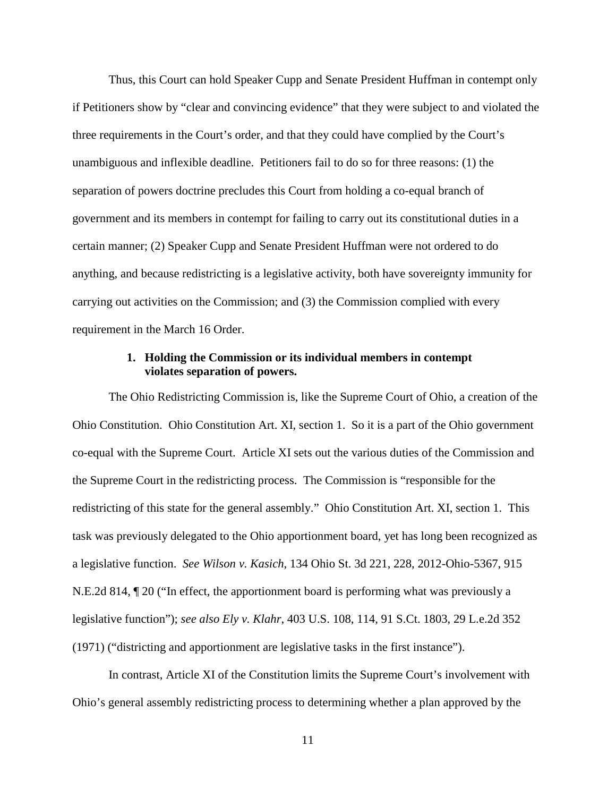Thus, this Court can hold Speaker Cupp and Senate President Huffman in contempt only if Petitioners show by "clear and convincing evidence" that they were subject to and violated the three requirements in the Court's order, and that they could have complied by the Court's unambiguous and inflexible deadline. Petitioners fail to do so for three reasons: (1) the separation of powers doctrine precludes this Court from holding a co-equal branch of government and its members in contempt for failing to carry out its constitutional duties in a certain manner; (2) Speaker Cupp and Senate President Huffman were not ordered to do anything, and because redistricting is a legislative activity, both have sovereignty immunity for carrying out activities on the Commission; and (3) the Commission complied with every requirement in the March 16 Order.

## **1. Holding the Commission or its individual members in contempt violates separation of powers.**

The Ohio Redistricting Commission is, like the Supreme Court of Ohio, a creation of the Ohio Constitution. Ohio Constitution Art. XI, section 1. So it is a part of the Ohio government co-equal with the Supreme Court. Article XI sets out the various duties of the Commission and the Supreme Court in the redistricting process. The Commission is "responsible for the redistricting of this state for the general assembly." Ohio Constitution Art. XI, section 1. This task was previously delegated to the Ohio apportionment board, yet has long been recognized as a legislative function. *See Wilson v. Kasich*, 134 Ohio St. 3d 221, 228, 2012-Ohio-5367, 915 N.E.2d 814, ¶ 20 ("In effect, the apportionment board is performing what was previously a legislative function"); *see also Ely v. Klahr*, 403 U.S. 108, 114, 91 S.Ct. 1803, 29 L.e.2d 352 (1971) ("districting and apportionment are legislative tasks in the first instance").

In contrast, Article XI of the Constitution limits the Supreme Court's involvement with Ohio's general assembly redistricting process to determining whether a plan approved by the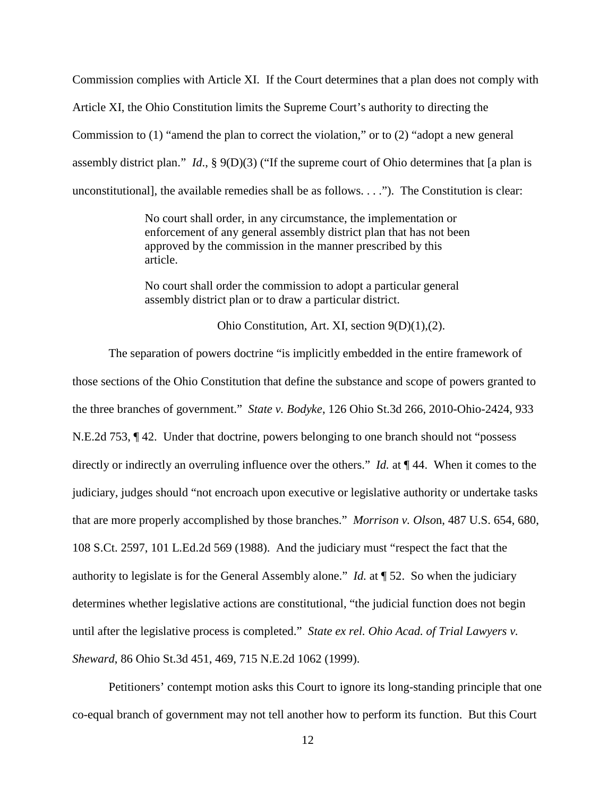Commission complies with Article XI. If the Court determines that a plan does not comply with Article XI, the Ohio Constitution limits the Supreme Court's authority to directing the Commission to (1) "amend the plan to correct the violation," or to (2) "adopt a new general assembly district plan." *Id*., § 9(D)(3) ("If the supreme court of Ohio determines that [a plan is unconstitutional], the available remedies shall be as follows. . . ."). The Constitution is clear:

> No court shall order, in any circumstance, the implementation or enforcement of any general assembly district plan that has not been approved by the commission in the manner prescribed by this article.

No court shall order the commission to adopt a particular general assembly district plan or to draw a particular district.

Ohio Constitution, Art. XI, section 9(D)(1),(2).

The separation of powers doctrine "is implicitly embedded in the entire framework of those sections of the Ohio Constitution that define the substance and scope of powers granted to the three branches of government." *State v. Bodyke*, 126 Ohio St.3d 266, 2010-Ohio-2424, 933 N.E.2d 753, ¶ 42. Under that doctrine, powers belonging to one branch should not "possess directly or indirectly an overruling influence over the others." *Id.* at ¶ 44. When it comes to the judiciary, judges should "not encroach upon executive or legislative authority or undertake tasks that are more properly accomplished by those branches." *Morrison v. Olso*n, 487 U.S. 654, 680, 108 S.Ct. 2597, 101 L.Ed.2d 569 (1988). And the judiciary must "respect the fact that the authority to legislate is for the General Assembly alone." *Id.* at ¶ 52. So when the judiciary determines whether legislative actions are constitutional, "the judicial function does not begin until after the legislative process is completed." *State ex rel. Ohio Acad. of Trial Lawyers v. Sheward*, 86 Ohio St.3d 451, 469, 715 N.E.2d 1062 (1999).

Petitioners' contempt motion asks this Court to ignore its long-standing principle that one co-equal branch of government may not tell another how to perform its function. But this Court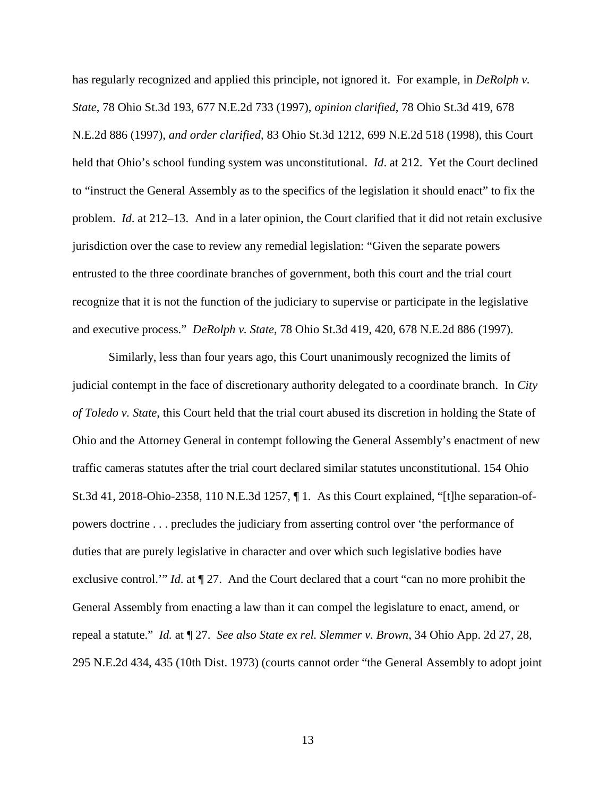has regularly recognized and applied this principle, not ignored it. For example, in *DeRolph v. State*, 78 Ohio St.3d 193, 677 N.E.2d 733 (1997), *opinion clarified*, 78 Ohio St.3d 419, 678 N.E.2d 886 (1997), *and order clarified*, 83 Ohio St.3d 1212, 699 N.E.2d 518 (1998), this Court held that Ohio's school funding system was unconstitutional. *Id*. at 212. Yet the Court declined to "instruct the General Assembly as to the specifics of the legislation it should enact" to fix the problem. *Id*. at 212–13. And in a later opinion, the Court clarified that it did not retain exclusive jurisdiction over the case to review any remedial legislation: "Given the separate powers entrusted to the three coordinate branches of government, both this court and the trial court recognize that it is not the function of the judiciary to supervise or participate in the legislative and executive process." *DeRolph v. State*, 78 Ohio St.3d 419, 420, 678 N.E.2d 886 (1997).

Similarly, less than four years ago, this Court unanimously recognized the limits of judicial contempt in the face of discretionary authority delegated to a coordinate branch. In *City of Toledo v. State*, this Court held that the trial court abused its discretion in holding the State of Ohio and the Attorney General in contempt following the General Assembly's enactment of new traffic cameras statutes after the trial court declared similar statutes unconstitutional. 154 Ohio St.3d 41, 2018-Ohio-2358, 110 N.E.3d 1257, ¶ 1. As this Court explained, "[t]he separation-ofpowers doctrine . . . precludes the judiciary from asserting control over 'the performance of duties that are purely legislative in character and over which such legislative bodies have exclusive control.'" *Id.* at  $\P$  27. And the Court declared that a court "can no more prohibit the General Assembly from enacting a law than it can compel the legislature to enact, amend, or repeal a statute." *Id.* at ¶ 27. *See also State ex rel. Slemmer v. Brown*, 34 Ohio App. 2d 27, 28, 295 N.E.2d 434, 435 (10th Dist. 1973) (courts cannot order "the General Assembly to adopt joint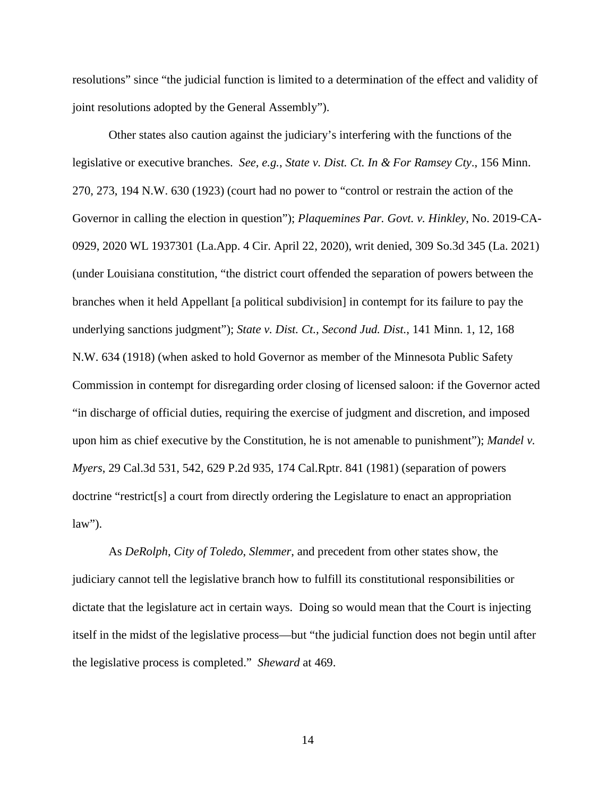resolutions" since "the judicial function is limited to a determination of the effect and validity of joint resolutions adopted by the General Assembly").

Other states also caution against the judiciary's interfering with the functions of the legislative or executive branches. *See, e.g.*, *State v. Dist. Ct. In & For Ramsey Cty*., 156 Minn. 270, 273, 194 N.W. 630 (1923) (court had no power to "control or restrain the action of the Governor in calling the election in question"); *Plaquemines Par. Govt. v. Hinkley*, No. 2019-CA-0929, 2020 WL 1937301 (La.App. 4 Cir. April 22, 2020), writ denied, 309 So.3d 345 (La. 2021) (under Louisiana constitution, "the district court offended the separation of powers between the branches when it held Appellant [a political subdivision] in contempt for its failure to pay the underlying sanctions judgment"); *State v. Dist. Ct., Second Jud. Dist.*, 141 Minn. 1, 12, 168 N.W. 634 (1918) (when asked to hold Governor as member of the Minnesota Public Safety Commission in contempt for disregarding order closing of licensed saloon: if the Governor acted "in discharge of official duties, requiring the exercise of judgment and discretion, and imposed upon him as chief executive by the Constitution, he is not amenable to punishment"); *Mandel v. Myers*, 29 Cal.3d 531, 542, 629 P.2d 935, 174 Cal.Rptr. 841 (1981) (separation of powers doctrine "restrict[s] a court from directly ordering the Legislature to enact an appropriation  $law$ ").

As *DeRolph*, *City of Toledo*, *Slemmer*, and precedent from other states show, the judiciary cannot tell the legislative branch how to fulfill its constitutional responsibilities or dictate that the legislature act in certain ways. Doing so would mean that the Court is injecting itself in the midst of the legislative process—but "the judicial function does not begin until after the legislative process is completed." *Sheward* at 469.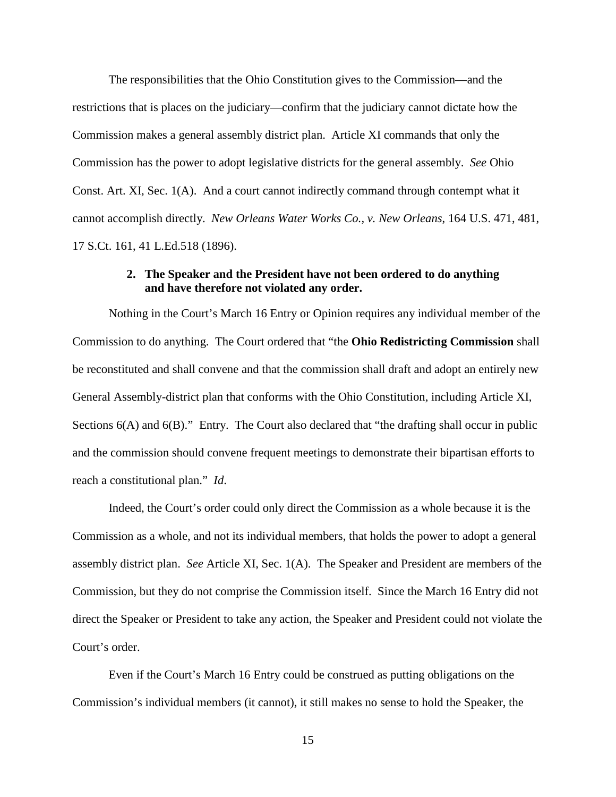The responsibilities that the Ohio Constitution gives to the Commission—and the restrictions that is places on the judiciary—confirm that the judiciary cannot dictate how the Commission makes a general assembly district plan. Article XI commands that only the Commission has the power to adopt legislative districts for the general assembly. *See* Ohio Const. Art. XI, Sec. 1(A). And a court cannot indirectly command through contempt what it cannot accomplish directly. *New Orleans Water Works Co., v. New Orleans*, 164 U.S. 471, 481, 17 S.Ct. 161, 41 L.Ed.518 (1896).

## **2. The Speaker and the President have not been ordered to do anything and have therefore not violated any order.**

Nothing in the Court's March 16 Entry or Opinion requires any individual member of the Commission to do anything. The Court ordered that "the **Ohio Redistricting Commission** shall be reconstituted and shall convene and that the commission shall draft and adopt an entirely new General Assembly-district plan that conforms with the Ohio Constitution, including Article XI, Sections  $6(A)$  and  $6(B)$ ." Entry. The Court also declared that "the drafting shall occur in public and the commission should convene frequent meetings to demonstrate their bipartisan efforts to reach a constitutional plan." *Id*.

Indeed, the Court's order could only direct the Commission as a whole because it is the Commission as a whole, and not its individual members, that holds the power to adopt a general assembly district plan. *See* Article XI, Sec. 1(A). The Speaker and President are members of the Commission, but they do not comprise the Commission itself. Since the March 16 Entry did not direct the Speaker or President to take any action, the Speaker and President could not violate the Court's order.

Even if the Court's March 16 Entry could be construed as putting obligations on the Commission's individual members (it cannot), it still makes no sense to hold the Speaker, the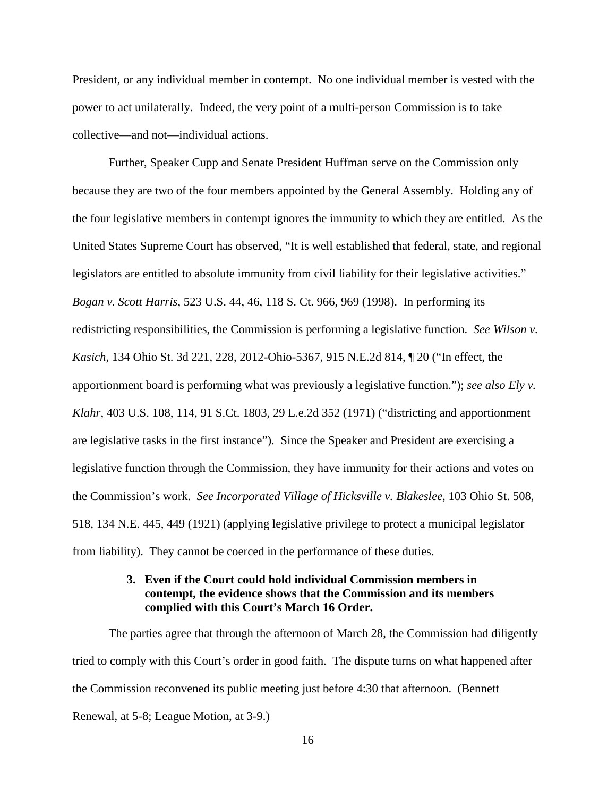President, or any individual member in contempt. No one individual member is vested with the power to act unilaterally. Indeed, the very point of a multi-person Commission is to take collective—and not—individual actions.

Further, Speaker Cupp and Senate President Huffman serve on the Commission only because they are two of the four members appointed by the General Assembly. Holding any of the four legislative members in contempt ignores the immunity to which they are entitled. As the United States Supreme Court has observed, "It is well established that federal, state, and regional legislators are entitled to absolute immunity from civil liability for their legislative activities." *Bogan v. Scott Harris*, 523 U.S. 44, 46, 118 S. Ct. 966, 969 (1998). In performing its redistricting responsibilities, the Commission is performing a legislative function. *See Wilson v. Kasich*, 134 Ohio St. 3d 221, 228, 2012-Ohio-5367, 915 N.E.2d 814, ¶ 20 ("In effect, the apportionment board is performing what was previously a legislative function."); *see also Ely v. Klahr*, 403 U.S. 108, 114, 91 S.Ct. 1803, 29 L.e.2d 352 (1971) ("districting and apportionment are legislative tasks in the first instance"). Since the Speaker and President are exercising a legislative function through the Commission, they have immunity for their actions and votes on the Commission's work. *See Incorporated Village of Hicksville v. Blakeslee*, 103 Ohio St. 508, 518, 134 N.E. 445, 449 (1921) (applying legislative privilege to protect a municipal legislator from liability). They cannot be coerced in the performance of these duties.

## **3. Even if the Court could hold individual Commission members in contempt, the evidence shows that the Commission and its members complied with this Court's March 16 Order.**

The parties agree that through the afternoon of March 28, the Commission had diligently tried to comply with this Court's order in good faith. The dispute turns on what happened after the Commission reconvened its public meeting just before 4:30 that afternoon. (Bennett Renewal, at 5-8; League Motion, at 3-9.)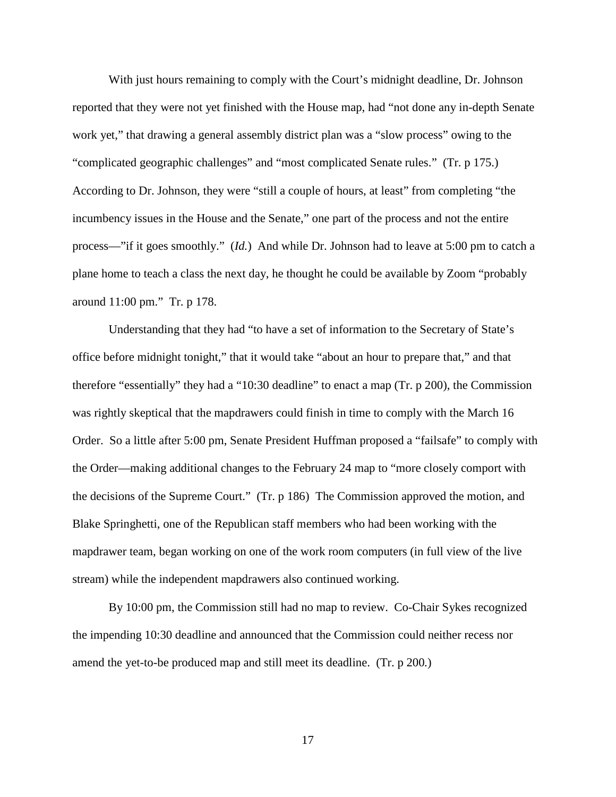With just hours remaining to comply with the Court's midnight deadline, Dr. Johnson reported that they were not yet finished with the House map, had "not done any in-depth Senate work yet," that drawing a general assembly district plan was a "slow process" owing to the "complicated geographic challenges" and "most complicated Senate rules." (Tr. p 175.) According to Dr. Johnson, they were "still a couple of hours, at least" from completing "the incumbency issues in the House and the Senate," one part of the process and not the entire process—"if it goes smoothly." (*Id.*) And while Dr. Johnson had to leave at 5:00 pm to catch a plane home to teach a class the next day, he thought he could be available by Zoom "probably around 11:00 pm." Tr. p 178.

Understanding that they had "to have a set of information to the Secretary of State's office before midnight tonight," that it would take "about an hour to prepare that," and that therefore "essentially" they had a "10:30 deadline" to enact a map (Tr. p 200), the Commission was rightly skeptical that the mapdrawers could finish in time to comply with the March 16 Order. So a little after 5:00 pm, Senate President Huffman proposed a "failsafe" to comply with the Order—making additional changes to the February 24 map to "more closely comport with the decisions of the Supreme Court." (Tr. p 186) The Commission approved the motion, and Blake Springhetti, one of the Republican staff members who had been working with the mapdrawer team, began working on one of the work room computers (in full view of the live stream) while the independent mapdrawers also continued working.

By 10:00 pm, the Commission still had no map to review. Co-Chair Sykes recognized the impending 10:30 deadline and announced that the Commission could neither recess nor amend the yet-to-be produced map and still meet its deadline. (Tr. p 200*.*)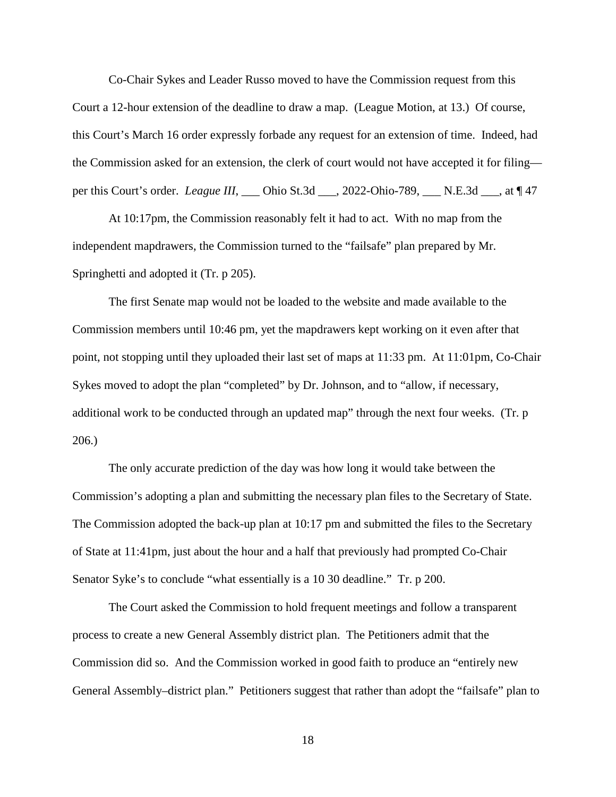Co-Chair Sykes and Leader Russo moved to have the Commission request from this Court a 12-hour extension of the deadline to draw a map. (League Motion, at 13.) Of course, this Court's March 16 order expressly forbade any request for an extension of time. Indeed, had the Commission asked for an extension, the clerk of court would not have accepted it for filing per this Court's order. *League III*, \_\_\_ Ohio St.3d \_\_\_, 2022-Ohio-789, \_\_\_ N.E.3d \_\_\_, at ¶ 47

At 10:17pm, the Commission reasonably felt it had to act. With no map from the independent mapdrawers, the Commission turned to the "failsafe" plan prepared by Mr. Springhetti and adopted it (Tr. p 205).

The first Senate map would not be loaded to the website and made available to the Commission members until 10:46 pm, yet the mapdrawers kept working on it even after that point, not stopping until they uploaded their last set of maps at 11:33 pm. At 11:01pm, Co-Chair Sykes moved to adopt the plan "completed" by Dr. Johnson, and to "allow, if necessary, additional work to be conducted through an updated map" through the next four weeks. (Tr. p 206.)

The only accurate prediction of the day was how long it would take between the Commission's adopting a plan and submitting the necessary plan files to the Secretary of State. The Commission adopted the back-up plan at 10:17 pm and submitted the files to the Secretary of State at 11:41pm, just about the hour and a half that previously had prompted Co-Chair Senator Syke's to conclude "what essentially is a 10 30 deadline." Tr. p 200.

The Court asked the Commission to hold frequent meetings and follow a transparent process to create a new General Assembly district plan. The Petitioners admit that the Commission did so. And the Commission worked in good faith to produce an "entirely new General Assembly–district plan." Petitioners suggest that rather than adopt the "failsafe" plan to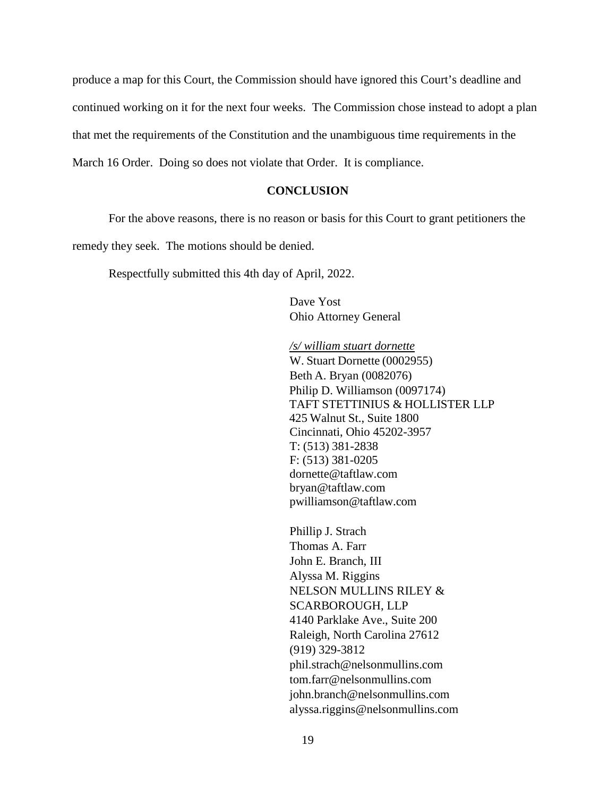produce a map for this Court, the Commission should have ignored this Court's deadline and continued working on it for the next four weeks. The Commission chose instead to adopt a plan that met the requirements of the Constitution and the unambiguous time requirements in the March 16 Order. Doing so does not violate that Order. It is compliance.

## **CONCLUSION**

For the above reasons, there is no reason or basis for this Court to grant petitioners the

remedy they seek. The motions should be denied.

Respectfully submitted this 4th day of April, 2022.

Dave Yost Ohio Attorney General

*/s/ william stuart dornette*  W. Stuart Dornette (0002955) Beth A. Bryan (0082076) Philip D. Williamson (0097174) TAFT STETTINIUS & HOLLISTER LLP 425 Walnut St., Suite 1800 Cincinnati, Ohio 45202-3957 T: (513) 381-2838 F: (513) 381-0205 [dornette@taftlaw.com](mailto:dornette@taftlaw.com) [bryan@taftlaw.com](mailto:bryan@taftlaw.com) [pwilliamson@taftlaw.com](mailto:pwilliamson@taftlaw.com)

Phillip J. Strach Thomas A. Farr John E. Branch, III Alyssa M. Riggins NELSON MULLINS RILEY & SCARBOROUGH, LLP 4140 Parklake Ave., Suite 200 Raleigh, North Carolina 27612 (919) 329-3812 [phil.strach@nelsonmullins.com](mailto:phil.strach@nelsonmullins.com) [tom.farr@nelsonmullins.com](mailto:tom.farr@nelsonmullins.com) john.branch@nelsonmullins.com alyssa.riggins@nelsonmullins.com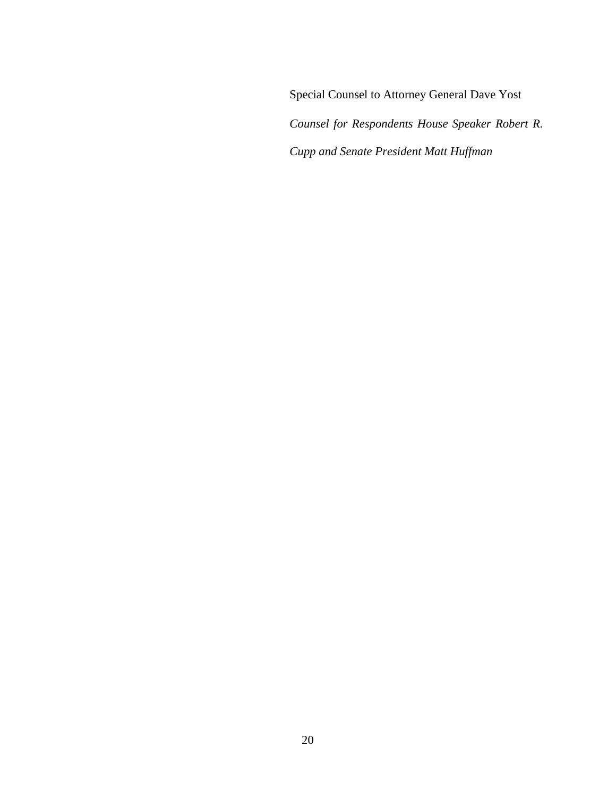Special Counsel to Attorney General Dave Yost *Counsel for Respondents House Speaker Robert R. Cupp and Senate President Matt Huffman*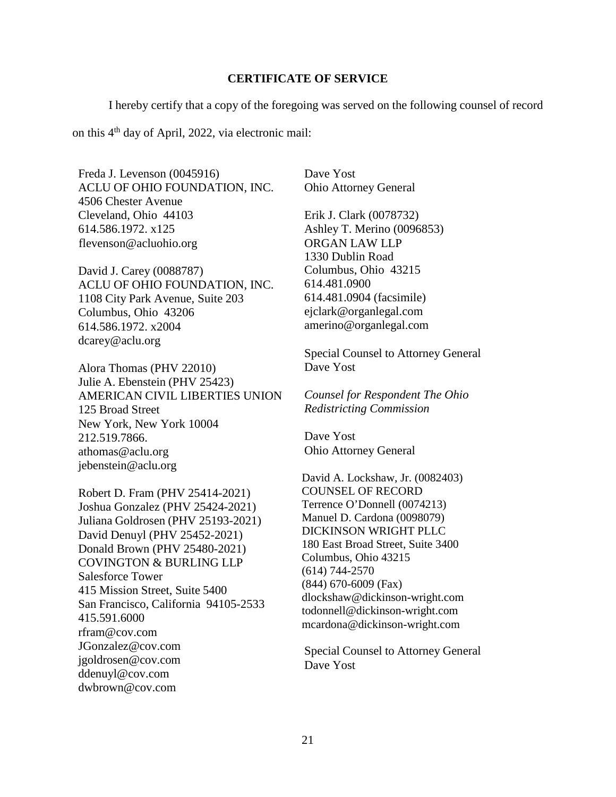#### **CERTIFICATE OF SERVICE**

I hereby certify that a copy of the foregoing was served on the following counsel of record

on this 4th day of April, 2022, via electronic mail:

Freda J. Levenson (0045916) ACLU OF OHIO FOUNDATION, INC. 4506 Chester Avenue Cleveland, Ohio 44103 614.586.1972. x125  [flevenson@acluohio.org](mailto:flevenson@acluohio.org)

David J. Carey (0088787) ACLU OF OHIO FOUNDATION, INC. 1108 City Park Avenue, Suite 203 Columbus, Ohio 43206 614.586.1972. x2004 [dcarey@aclu.org](mailto:dcarey@aclu.org) 

Alora Thomas (PHV 22010) Julie A. Ebenstein (PHV 25423) AMERICAN CIVIL LIBERTIES UNION 125 Broad Street New York, New York 10004 212.519.7866. [athomas@aclu.org](mailto:athomas@aclu.org)  [jebenstein@aclu.org](mailto:jebenstein@aclu.org) 

Robert D. Fram (PHV 25414-2021) Joshua Gonzalez (PHV 25424-2021) Juliana Goldrosen (PHV 25193-2021) David Denuyl (PHV 25452-2021) Donald Brown (PHV 25480-2021) COVINGTON & BURLING LLP Salesforce Tower 415 Mission Street, Suite 5400 San Francisco, California 94105-2533 415.591.6000 [rfram@cov.com](mailto:rfram@cov.com) [JGonzalez@cov.com](mailto:JGonzalez@cov.com)  [jgoldrosen@cov.com](mailto:jgoldrosen@cov.com)  [ddenuyl@cov.com](mailto:ddenuyl@cov.com) [dwbrown@cov.com](mailto:dwbrown@cov.com)

Dave Yost Ohio Attorney General

Erik J. Clark (0078732) Ashley T. Merino (0096853) ORGAN LAW LLP 1330 Dublin Road Columbus, Ohio 43215 614.481.0900 614.481.0904 (facsimile) [ejclark@organlegal.com](mailto:ejclark@organlegal.com)  [amerino@organlegal.com](mailto:amerino@organlegal.com)

Special Counsel to Attorney General Dave Yost

*Counsel for Respondent The Ohio Redistricting Commission* 

Dave Yost Ohio Attorney General

David A. Lockshaw, Jr. (0082403) COUNSEL OF RECORD Terrence O'Donnell (0074213) Manuel D. Cardona (0098079) DICKINSON WRIGHT PLLC 180 East Broad Street, Suite 3400 Columbus, Ohio 43215 (614) 744-2570 (844) 670-6009 (Fax) dlockshaw@dickinson-wright.com todonnell@dickinson-wright.com mcardona@dickinson-wright.com

Special Counsel to Attorney General Dave Yost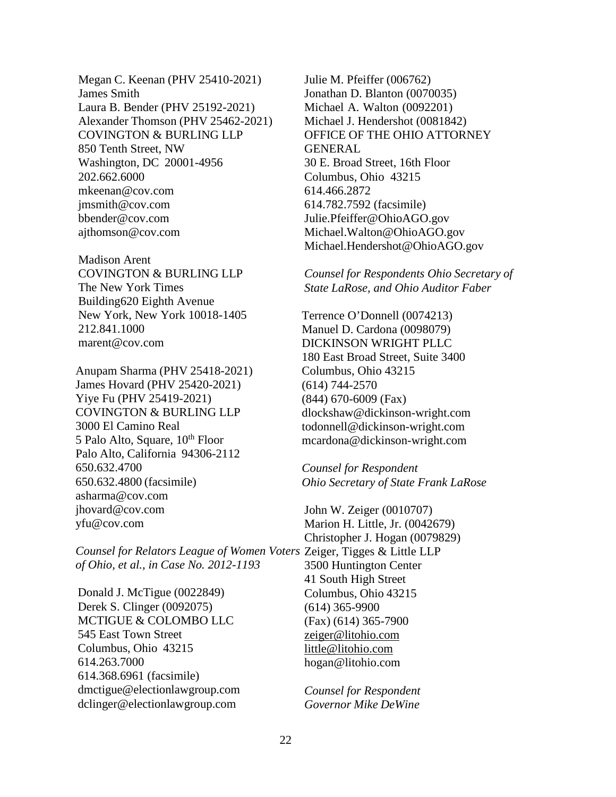Megan C. Keenan (PHV 25410-2021) James Smith Laura B. Bender (PHV 25192-2021) Alexander Thomson (PHV 25462-2021) COVINGTON & BURLING LLP 850 Tenth Street, NW Washington, DC 20001-4956 202.662.6000 [mkeenan@cov.com](mailto:mkeenan@cov.com) [jmsmith@cov.com](mailto:jmsmith@cov.com) [bbender@cov.com](mailto:bbender@cov.com) [ajthomson@cov.com](mailto:ajthomson@cov.com) 

Madison Arent COVINGTON & BURLING LLP The New York Times Building 620 Eighth Avenue New York, New York 10018-1405 212.841.1000 [marent@cov.com](mailto:marent@cov.com)

Anupam Sharma (PHV 25418-2021) James Hovard (PHV 25420-2021) Yiye Fu (PHV 25419-2021) COVINGTON & BURLING LLP 3000 El Camino Real 5 Palo Alto, Square,  $10^{th}$  Floor Palo Alto, California 94306-2112 650.632.4700 650.632.4800 (facsimile) [asharma@cov.com](mailto:asharma@cov.com) [jhovard@cov.com](mailto:jhovard@cov.com) [yfu@cov.com](mailto:yfu@cov.com)

*Counsel for Relators League of Women Voters*  Zeiger, Tigges & Little LLP *of Ohio, et al., in Case No. 2012-1193*

Donald J. McTigue (0022849) Derek S. Clinger (0092075) MCTIGUE & COLOMBO LLC 545 East Town Street Columbus, Ohio 43215 614.263.7000 614.368.6961 (facsimile) [dmctigue@electionlawgroup.com](mailto:dmctigue@electionlawgroup.com)  [dclinger@electionlawgroup.com](mailto:dclinger@electionlawgroup.com) 

Julie M. Pfeiffer (006762) Jonathan D. Blanton (0070035) Michael A. Walton (0092201) Michael J. Hendershot (0081842) OFFICE OF THE OHIO ATTORNEY GENERAL 30 E. Broad Street, 16th Floor Columbus, Ohio 43215 614.466.2872 614.782.7592 (facsimile) [Julie.Pfeiffer@OhioAGO.gov](mailto:Julie.Pfeiffer@OhioAGO.gov)  [Michael.Walton@OhioAGO.gov](mailto:Michael.Walton@OhioAGO.gov) [Michael.Hendershot@OhioAGO.gov](mailto:Michael.Hendershot@OhioAGO.gov) 

*Counsel for Respondents Ohio Secretary of State LaRose, and Ohio Auditor Faber* 

Terrence O'Donnell (0074213) Manuel D. Cardona (0098079) DICKINSON WRIGHT PLLC 180 East Broad Street, Suite 3400 Columbus, Ohio 43215 (614) 744-2570 (844) 670-6009 (Fax) [dlockshaw@dickinson-wright.com](mailto:dlockshaw@dickinson-wright.com) [todonnell@dickinson-wright.com](mailto:todonnell@dickinson-wright.com) [mcardona@dickinson-wright.com](mailto:mcardona@dickinson-wright.com)

*Counsel for Respondent Ohio Secretary of State Frank LaRose*

John W. Zeiger (0010707) Marion H. Little, Jr. (0042679) Christopher J. Hogan (0079829) 3500 Huntington Center 41 South High Street Columbus, Ohio 43215 (614) 365-9900 (Fax) (614) 365-7900 [zeiger@litohio.com](mailto:zeiger@litohio.com) [little@litohio.com](mailto:little@litohio.com)  [hogan@litohio.com](mailto:hogan@litohio.com)

*Counsel for Respondent Governor Mike DeWine*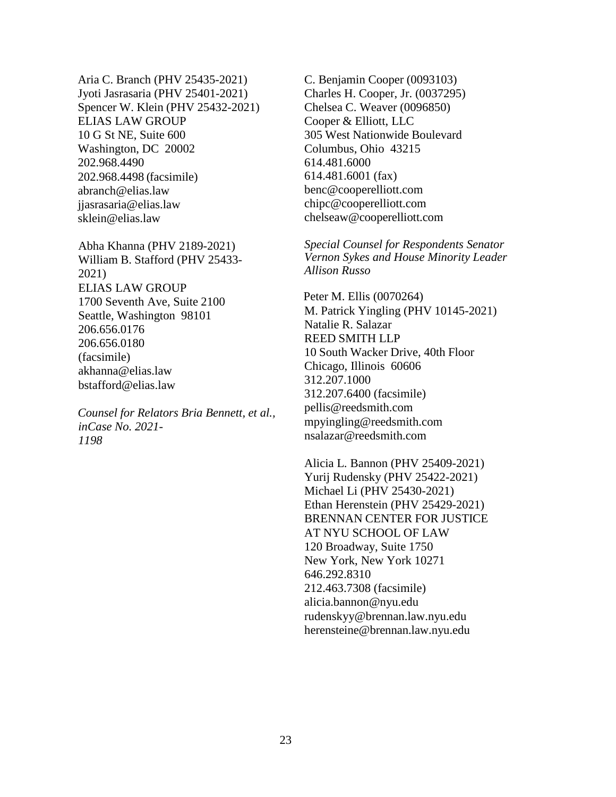Aria C. Branch (PHV 25435-2021) Jyoti Jasrasaria (PHV 25401-2021) Spencer W. Klein (PHV 25432-2021) ELIAS LAW GROUP 10 G St NE, Suite 600 Washington, DC 20002 202.968.4490 202.968.4498 (facsimile) [abranch@elias.law](mailto:abranch@elias.law)  [jjasrasaria@elias.law](mailto:jjasrasaria@elias.law) [sklein@elias.law](mailto:sklein@elias.law)

Abha Khanna (PHV 2189-2021) William B. Stafford (PHV 25433- 2021) ELIAS LAW GROUP 1700 Seventh Ave, Suite 2100 Seattle, Washington 98101 206.656.0176 206.656.0180 (facsimile) [akhanna@elias.law](mailto:akhanna@elias.law) [bstafford@elias.law](mailto:bstafford@elias.law)

*Counsel for Relators Bria Bennett, et al., in Case No. 2021- 1198*

C. Benjamin Cooper (0093103) Charles H. Cooper, Jr. (0037295) Chelsea C. Weaver (0096850) Cooper & Elliott, LLC 305 West Nationwide Boulevard Columbus, Ohio 43215 614.481.6000 614.481.6001 (fax) [benc@cooperelliott.com](mailto:benc@cooperelliott.com)  [chipc@cooperelliott.com](mailto:chipc@cooperelliott.com)  [chelseaw@cooperelliott.com](mailto:chelseaw@cooperelliott.com) 

*Special Counsel for Respondents Senator Vernon Sykes and House Minority Leader Allison Russo* 

Peter M. Ellis (0070264) M. Patrick Yingling (PHV 10145-2021) Natalie R. Salazar REED SMITH LLP 10 South Wacker Drive, 40th Floor Chicago, Illinois 60606 312.207.1000 312.207.6400 (facsimile) [pellis@reedsmith.com](mailto:pellis@reedsmith.com)  [mpyingling@reedsmith.com](mailto:mpyingling@reedsmith.com) [nsalazar@reedsmith.com](mailto:nsalazar@reedsmith.com) 

Alicia L. Bannon (PHV 25409-2021) Yurij Rudensky (PHV 25422-2021) Michael Li (PHV 25430-2021) Ethan Herenstein (PHV 25429-2021) BRENNAN CENTER FOR JUSTICE AT NYU SCHOOL OF LAW 120 Broadway, Suite 1750 New York, New York 10271 646.292.8310 212.463.7308 (facsimile) [alicia.bannon@nyu.edu](mailto:alicia.bannon@nyu.edu) [rudenskyy@brennan.law.nyu.edu](mailto:rudenskyy@brennan.law.nyu.edu)  [herensteine@brennan.law.nyu.edu](mailto:herensteine@brennan.law.nyu.edu)